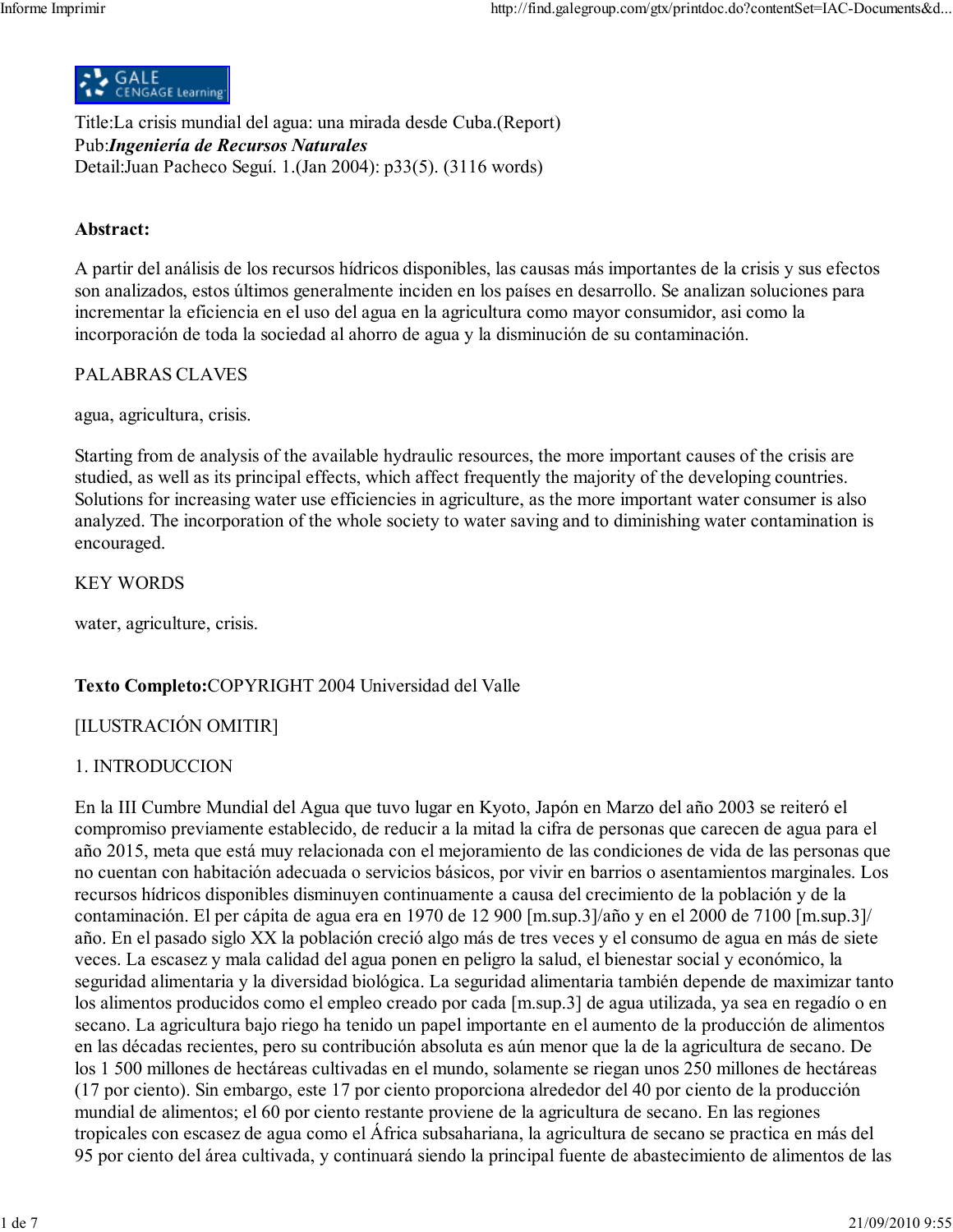

Title:La crisis mundial del agua: una mirada desde Cuba.(Report) Pub: Ingeniería de Recursos Naturales Detail: Juan Pacheco Seguí. 1. (Jan 2004): p33(5). (3116 words)

### Abstract:

A partir del análisis de los recursos hídricos disponibles, las causas más importantes de la crisis y sus efectos son analizados, estos últimos generalmente inciden en los países en desarrollo. Se analizan soluciones para incrementar la eficiencia en el uso del agua en la agricultura como mayor consumidor, así como la incorporación de toda la sociedad al ahorro de agua y la disminución de su contaminación.

#### **PALABRAS CLAVES**

agua, agricultura, crisis.

Starting from de analysis of the available hydraulic resources, the more important causes of the crisis are studied, as well as its principal effects, which affect frequently the majority of the developing countries. Solutions for increasing water use efficiencies in agriculture, as the more important water consumer is also analyzed. The incorporation of the whole society to water saving and to diminishing water contamination is encouraged.

**KEY WORDS** 

water, agriculture, crisis.

### Texto Completo:COPYRIGHT 2004 Universidad del Valle

### [ILUSTRACIÓN OMITIR]

### 1. INTRODUCCION

En la III Cumbre Mundial del Agua que tuvo lugar en Kyoto, Japón en Marzo del año 2003 se reiteró el compromiso previamente establecido, de reducir a la mitad la cifra de personas que carecen de agua para el año 2015, meta que está muy relacionada con el mejoramiento de las condiciones de vida de las personas que no cuentan con habitación adecuada o servicios básicos, por vivir en barrios o asentamientos marginales. Los recursos hídricos disponibles disminuyen continuamente a causa del crecimiento de la población y de la contaminación. El per cápita de agua era en 1970 de 12 900 [m.sup.3]/año y en el 2000 de 7100 [m.sup.3]/ año. En el pasado siglo XX la población creció algo más de tres veces y el consumo de agua en más de siete veces. La escasez y mala calidad del agua ponen en peligro la salud, el bienestar social y económico, la seguridad alimentaria y la diversidad biológica. La seguridad alimentaria también depende de maximizar tanto los alimentos producidos como el empleo creado por cada [m.sup.3] de agua utilizada, ya sea en regadío o en secano. La agricultura bajo riego ha tenido un papel importante en el aumento de la producción de alimentos en las décadas recientes, pero su contribución absoluta es aún menor que la de la agricultura de secano. De los 1 500 millones de hectáreas cultivadas en el mundo, solamente se riegan unos 250 millones de hectáreas (17 por ciento). Sin embargo, este 17 por ciento proporciona alrededor del 40 por ciento de la producción mundial de alimentos; el 60 por ciento restante proviene de la agricultura de secano. En las regiones tropicales con escasez de agua como el África subsahariana, la agricultura de secano se practica en más del 95 por ciento del área cultivada, y continuará siendo la principal fuente de abastecimiento de alimentos de las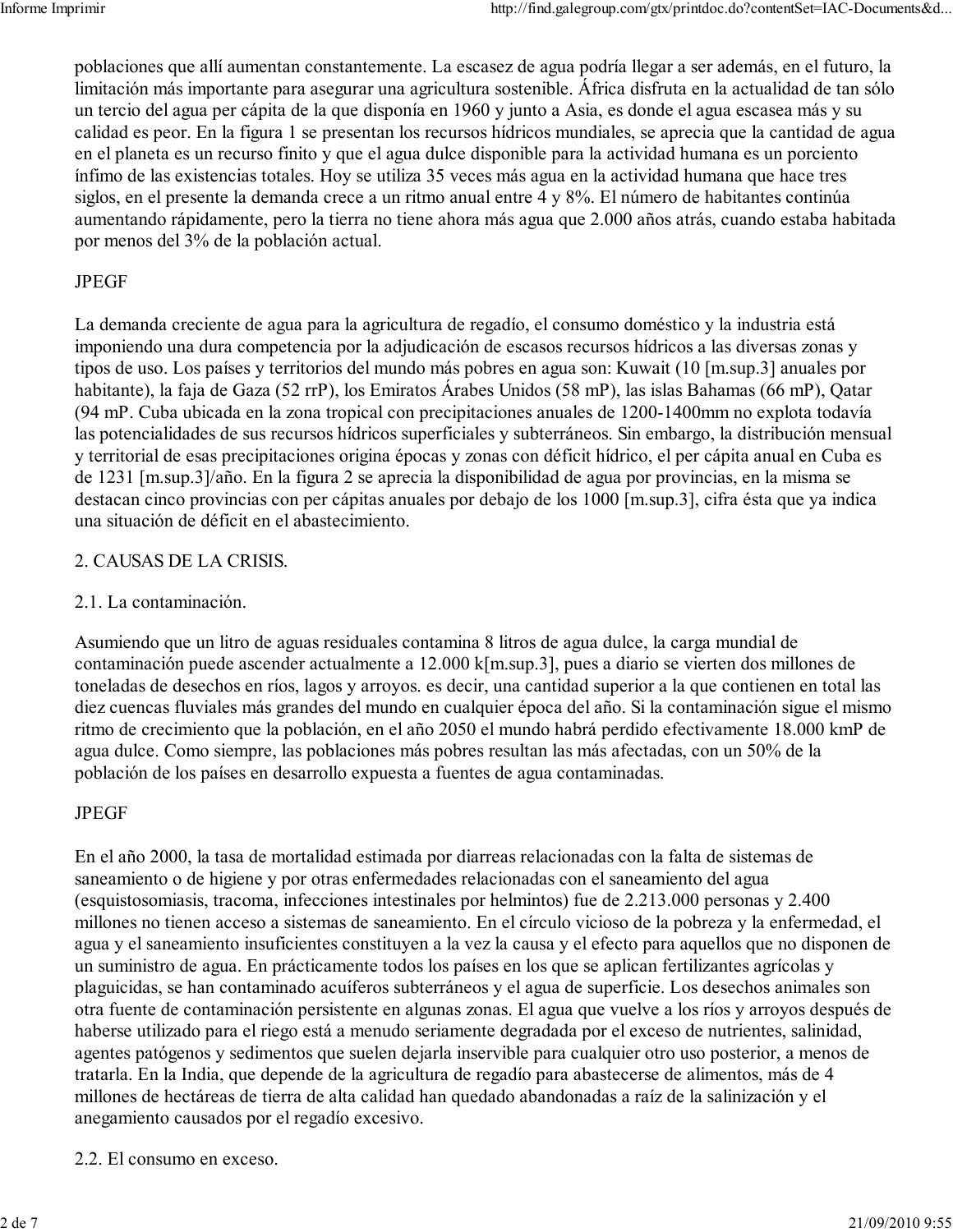poblaciones que allí aumentan constantemente. La escasez de agua podría llegar a ser además, en el futuro, la limitación más importante para asegurar una agricultura sostenible. África disfruta en la actualidad de tan sólo un tercio del agua per cápita de la que disponía en 1960 y junto a Asia, es donde el agua escasea más y su calidad es peor. En la figura 1 se presentan los recursos hídricos mundiales, se aprecia que la cantidad de agua en el planeta es un recurso finito y que el agua dulce disponible para la actividad humana es un porciento ínfimo de las existencias totales. Hoy se utiliza 35 veces más agua en la actividad humana que hace tres siglos, en el presente la demanda crece a un ritmo anual entre 4 y 8%. El número de habitantes continúa aumentando rápidamente, pero la tierra no tiene ahora más agua que 2.000 años atrás, cuando estaba habitada por menos del 3% de la población actual.

## **JPEGF**

La demanda creciente de agua para la agricultura de regadío, el consumo doméstico y la industria está imponiendo una dura competencia por la adjudicación de escasos recursos hídricos a las diversas zonas y tipos de uso. Los países y territorios del mundo más pobres en agua son: Kuwait (10 [m.sup.3] anuales por habitante), la faja de Gaza (52 rrP), los Emiratos Árabes Unidos (58 mP), las islas Bahamas (66 mP), Qatar (94 mP. Cuba ubicada en la zona tropical con precipitaciones anuales de 1200-1400 mm no explota todavía las potencialidades de sus recursos hídricos superficiales y subterráneos. Sin embargo, la distribución mensual y territorial de esas precipitaciones origina épocas y zonas con déficit hídrico, el per cápita anual en Cuba es de 1231 [m.sup.3]/año. En la figura 2 se aprecia la disponibilidad de agua por provincias, en la misma se destacan cinco provincias con per cápitas anuales por debajo de los 1000 [m.sup.3], cifra ésta que ya indica una situación de déficit en el abastecimiento.

## 2. CAUSAS DE LA CRISIS.

## 2.1. La contaminación.

Asumiendo que un litro de aguas residuales contamina 8 litros de agua dulce, la carga mundial de contaminación puede ascender actualmente a 12.000 k[m.sup.3], pues a diario se vierten dos millones de toneladas de desechos en ríos, lagos y arroyos, es decir, una cantidad superior a la que contienen en total las diez cuencas fluviales más grandes del mundo en cualquier época del año. Si la contaminación sigue el mismo ritmo de crecimiento que la población, en el año 2050 el mundo habrá perdido efectivamente 18.000 kmP de agua dulce. Como siempre, las poblaciones más pobres resultan las más afectadas, con un 50% de la población de los países en desarrollo expuesta a fuentes de agua contaminadas.

# **JPEGF**

En el año 2000, la tasa de mortalidad estimada por diarreas relacionadas con la falta de sistemas de saneamiento o de higiene y por otras enfermedades relacionadas con el saneamiento del agua (esquistosomiasis, tracoma, infecciones intestinales por helmintos) fue de 2.213.000 personas y 2.400 millones no tienen acceso a sistemas de saneamiento. En el círculo vicioso de la pobreza y la enfermedad, el agua y el saneamiento insuficientes constituyen a la vez la causa y el efecto para aquellos que no disponen de un suministro de agua. En prácticamente todos los países en los que se aplican fertilizantes agrícolas y plaguicidas, se han contaminado acuíferos subterráneos y el agua de superficie. Los desechos animales son otra fuente de contaminación persistente en algunas zonas. El agua que vuelve a los ríos y arroyos después de haberse utilizado para el riego está a menudo seriamente degradada por el exceso de nutrientes, salinidad, agentes patógenos y sedimentos que suelen dejarla inservible para cualquier otro uso posterior, a menos de tratarla. En la India, que depende de la agricultura de regadío para abastecerse de alimentos, más de 4 millones de hectáreas de tierra de alta calidad han quedado abandonadas a raíz de la salinización y el anegamiento causados por el regadío excesivo.

### 2.2. El consumo en exceso.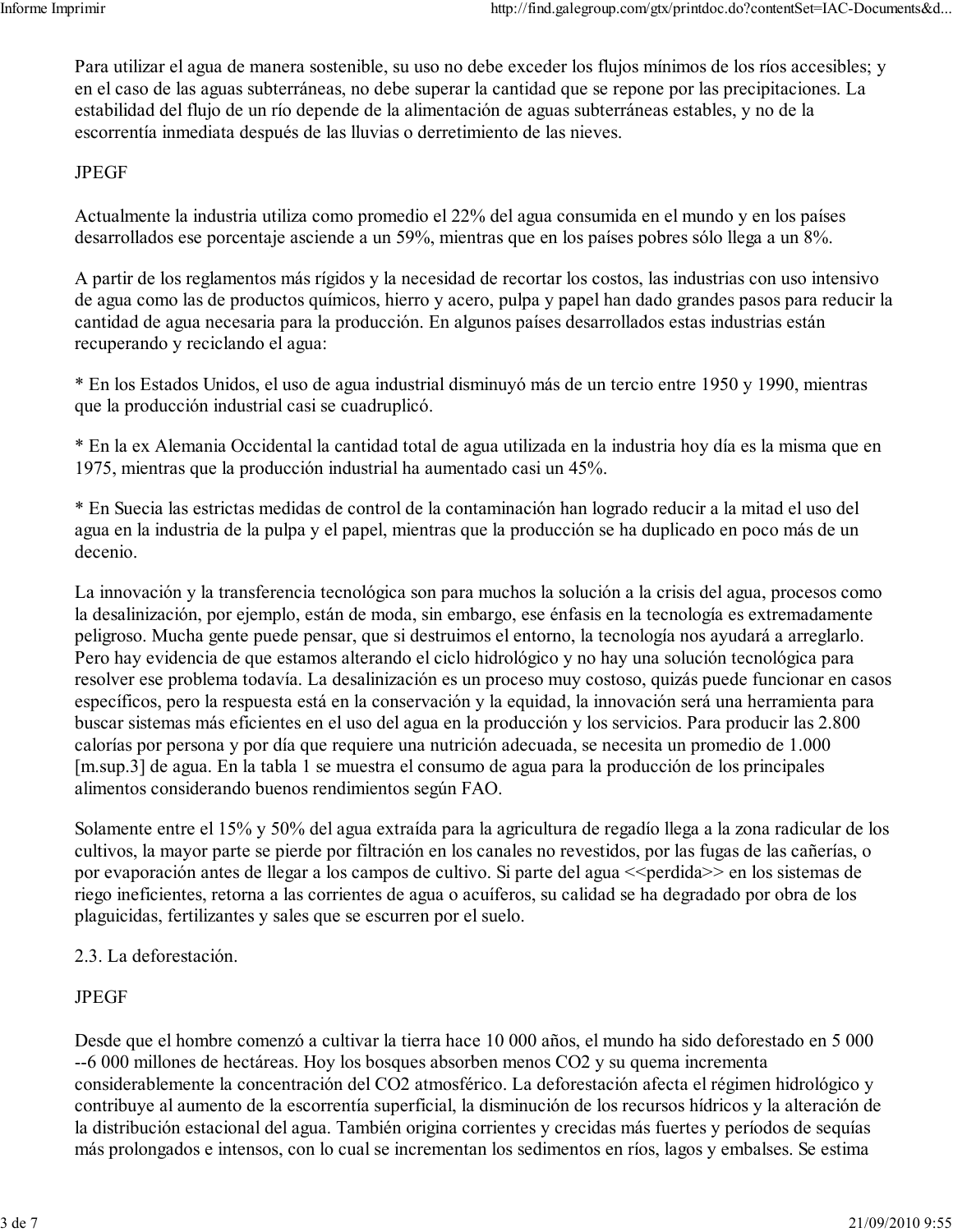Para utilizar el agua de manera sostenible, su uso no debe exceder los flujos mínimos de los ríos accesibles; y en el caso de las aguas subterráneas, no debe superar la cantidad que se repone por las precipitaciones. La estabilidad del flujo de un río depende de la alimentación de aguas subterráneas estables, y no de la escorrentía inmediata después de las lluvias o derretimiento de las nieves.

### **JPEGF**

Actualmente la industria utiliza como promedio el 22% del agua consumida en el mundo y en los países desarrollados ese porcentaje asciende a un 59%, mientras que en los países pobres sólo llega a un 8%.

A partir de los reglamentos más rígidos y la necesidad de recortar los costos, las industrias con uso intensivo de agua como las de productos químicos, hierro y acero, pulpa y papel han dado grandes pasos para reducir la cantidad de agua necesaria para la producción. En algunos países desarrollados estas industrias están recuperando y reciclando el agua:

\* En los Estados Unidos, el uso de agua industrial disminuyó más de un tercio entre 1950 y 1990, mientras que la producción industrial casi se cuadruplicó.

\* En la ex Alemania Occidental la cantidad total de agua utilizada en la industria hoy día es la misma que en 1975, mientras que la producción industrial ha aumentado casi un 45%.

\* En Suecia las estrictas medidas de control de la contaminación han logrado reducir a la mitad el uso del agua en la industria de la pulpa y el papel, mientras que la producción se ha duplicado en poco más de un decenio.

La innovación y la transferencia tecnológica son para muchos la solución a la crisis del agua, procesos como la desalinización, por ejemplo, están de moda, sin embargo, ese énfasis en la tecnología es extremadamente peligroso. Mucha gente puede pensar, que si destruimos el entorno, la tecnología nos ayudará a arreglarlo. Pero hay evidencia de que estamos alterando el ciclo hidrológico y no hay una solución tecnológica para resolver ese problema todavía. La desalinización es un proceso muy costoso, quizás puede funcionar en casos específicos, pero la respuesta está en la conservación y la equidad, la innovación será una herramienta para buscar sistemas más eficientes en el uso del agua en la producción y los servicios. Para producir las 2.800 calorías por persona y por día que requiere una nutrición adecuada, se necesita un promedio de 1.000 [m.sup.3] de agua. En la tabla 1 se muestra el consumo de agua para la producción de los principales alimentos considerando buenos rendimientos según FAO.

Solamente entre el 15% y 50% del agua extraída para la agricultura de regadío llega a la zona radicular de los cultivos, la mayor parte se pierde por filtración en los canales no revestidos, por las fugas de las cañerías, o por evaporación antes de llegar a los campos de cultivo. Si parte del agua << perdida >> en los sistemas de riego ineficientes, retorna a las corrientes de agua o acuíferos, su calidad se ha degradado por obra de los plaguicidas, fertilizantes y sales que se escurren por el suelo.

# 2.3. La deforestación.

# **JPEGF**

Desde que el hombre comenzó a cultivar la tierra hace 10 000 años, el mundo ha sido deforestado en 5 000 --6 000 millones de hectáreas. Hoy los bosques absorben menos CO2 y su quema incrementa considerablemente la concentración del CO2 atmosférico. La deforestación afecta el régimen hidrológico y contribuye al aumento de la escorrentía superficial, la disminución de los recursos hídricos y la alteración de la distribución estacional del agua. También origina corrientes y crecidas más fuertes y períodos de sequías más prolongados e intensos, con lo cual se incrementan los sedimentos en ríos, lagos y embalses. Se estima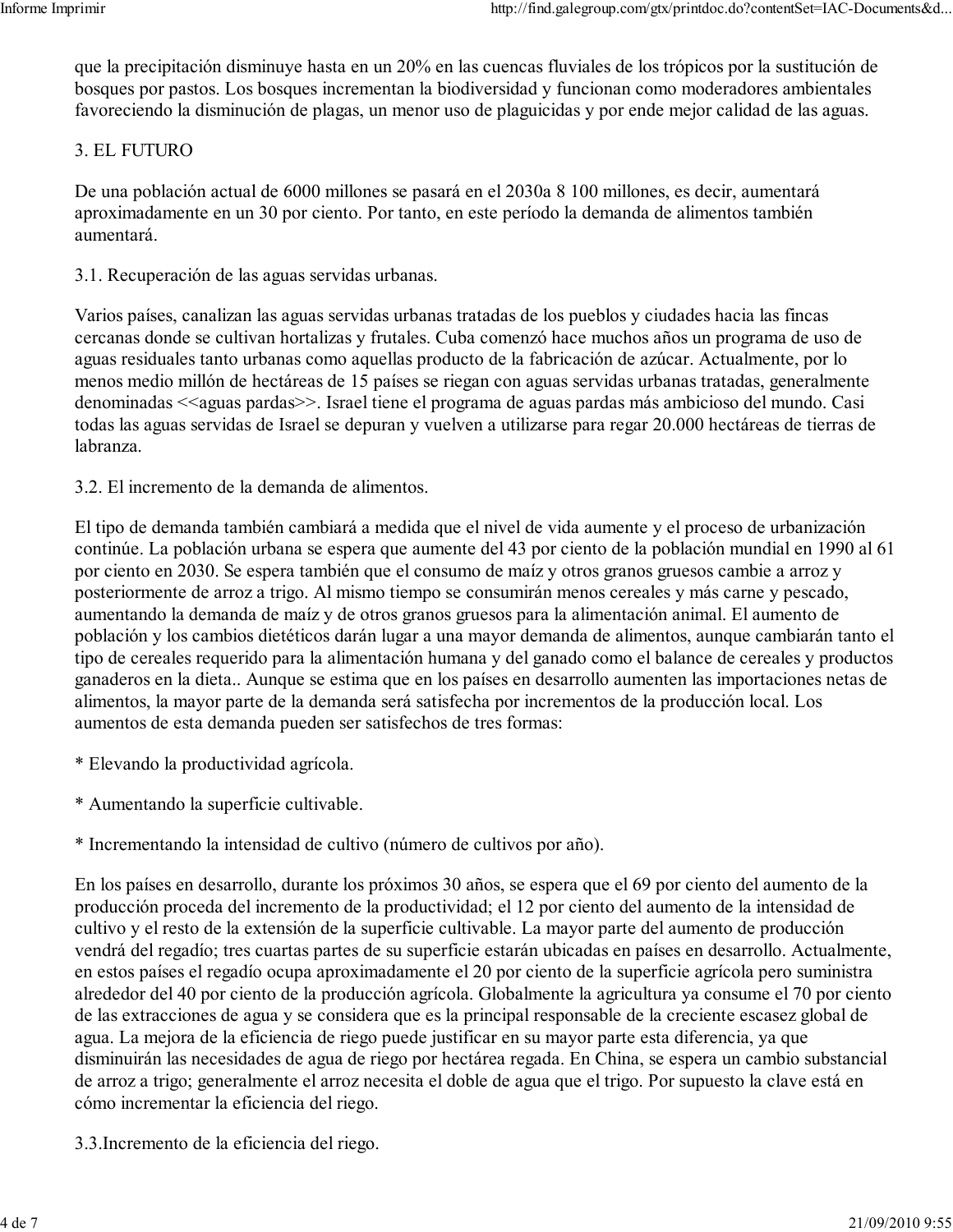que la precipitación disminuye hasta en un 20% en las cuencas fluviales de los trópicos por la sustitución de bosques por pastos. Los bosques incrementan la biodiversidad y funcionan como moderadores ambientales favoreciendo la disminución de plagas, un menor uso de plaguicidas y por ende mejor calidad de las aguas.

## 3. EL FUTURO

De una población actual de 6000 millones se pasará en el 2030a 8 100 millones, es decir, aumentará aproximadamente en un 30 por ciento. Por tanto, en este período la demanda de alimentos también aumentará

3.1. Recuperación de las aguas servidas urbanas.

Varios países, canalizan las aguas servidas urbanas tratadas de los pueblos y ciudades hacia las fincas cercanas donde se cultivan hortalizas y frutales. Cuba comenzó hace muchos años un programa de uso de aguas residuales tanto urbanas como aquellas producto de la fabricación de azúcar. Actualmente, por lo menos medio millón de hectáreas de 15 países se riegan con aguas servidas urbanas tratadas, generalmente denominadas <<aguas pardas>>. Israel tiene el programa de aguas pardas más ambicioso del mundo. Casi todas las aguas servidas de Israel se depuran y vuelven a utilizarse para regar 20.000 hectáreas de tierras de labranza.

3.2. El incremento de la demanda de alimentos.

El tipo de demanda también cambiará a medida que el nivel de vida aumente y el proceso de urbanización continúe. La población urbana se espera que aumente del 43 por ciento de la población mundial en 1990 al 61 por ciento en 2030. Se espera también que el consumo de maíz y otros granos gruesos cambie a arroz y posteriormente de arroz a trigo. Al mismo tiempo se consumirán menos cereales y más carne y pescado, aumentando la demanda de maíz y de otros granos gruesos para la alimentación animal. El aumento de población y los cambios dietéticos darán lugar a una mayor demanda de alimentos, aunque cambiarán tanto el tipo de cereales requerido para la alimentación humana y del ganado como el balance de cereales y productos ganaderos en la dieta.. Aunque se estima que en los países en desarrollo aumenten las importaciones netas de alimentos, la mayor parte de la demanda será satisfecha por incrementos de la producción local. Los aumentos de esta demanda pueden ser satisfechos de tres formas:

- \* Elevando la productividad agrícola.
- \* Aumentando la superficie cultivable.

\* Incrementando la intensidad de cultivo (número de cultivos por año).

En los países en desarrollo, durante los próximos 30 años, se espera que el 69 por ciento del aumento de la producción proceda del incremento de la productividad; el 12 por ciento del aumento de la intensidad de cultivo y el resto de la extensión de la superficie cultivable. La mayor parte del aumento de producción vendrá del regadío; tres cuartas partes de su superficie estarán ubicadas en países en desarrollo. Actualmente, en estos países el regadío ocupa aproximadamente el 20 por ciento de la superficie agrícola pero suministra alrededor del 40 por ciento de la producción agrícola. Globalmente la agricultura ya consume el 70 por ciento de las extracciones de agua y se considera que es la principal responsable de la creciente escasez global de agua. La mejora de la eficiencia de riego puede justificar en su mayor parte esta diferencia, ya que disminuirán las necesidades de agua de riego por hectárea regada. En China, se espera un cambio substancial de arroz a trigo; generalmente el arroz necesita el doble de agua que el trigo. Por supuesto la clave está en cómo incrementar la eficiencia del riego.

3.3. Incremento de la eficiencia del riego.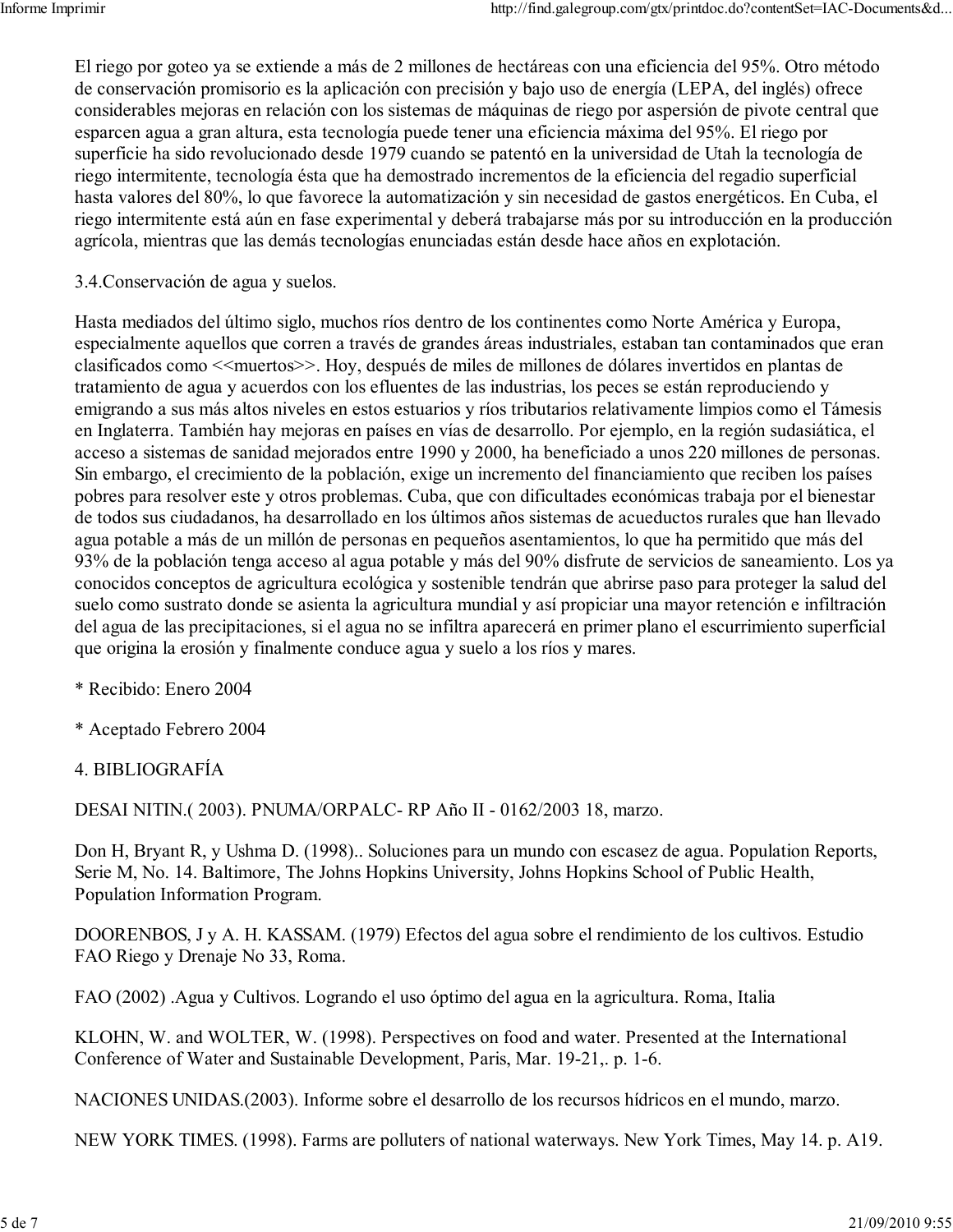El riego por goteo ya se extiende a más de 2 millones de hectáreas con una eficiencia del 95%. Otro método de conservación promisorio es la aplicación con precisión y bajo uso de energía (LEPA, del inglés) ofrece considerables mejoras en relación con los sistemas de máquinas de riego por aspersión de pivote central que esparcen agua a gran altura, esta tecnología puede tener una eficiencia máxima del 95%. El riego por superficie ha sido revolucionado desde 1979 cuando se patentó en la universidad de Utah la tecnología de riego intermitente, tecnología ésta que ha demostrado incrementos de la eficiencia del regadio superficial hasta valores del 80%, lo que favorece la automatización y sin necesidad de gastos energéticos. En Cuba, el riego intermitente está aún en fase experimental y deberá trabajarse más por su introducción en la producción agrícola, mientras que las demás tecnologías enunciadas están desde hace años en explotación.

3.4. Conservación de agua y suelos.

Hasta mediados del último siglo, muchos ríos dentro de los continentes como Norte América y Europa, especialmente aquellos que corren a través de grandes áreas industriales, estaban tan contaminados que eran clasificados como << muertos >>. Hoy, después de miles de millones de dólares invertidos en plantas de tratamiento de agua y acuerdos con los efluentes de las industrias, los peces se están reproduciendo y emigrando a sus más altos niveles en estos estuarios y ríos tributarios relativamente limpios como el Támesis en Inglaterra. También hay mejoras en países en vías de desarrollo. Por ejemplo, en la región sudasiática, el acceso a sistemas de sanidad mejorados entre 1990 y 2000, ha beneficiado a unos 220 millones de personas. Sin embargo, el crecimiento de la población, exige un incremento del financiamiento que reciben los países pobres para resolver este y otros problemas. Cuba, que con dificultades económicas trabaja por el bienestar de todos sus ciudadanos, ha desarrollado en los últimos años sistemas de acueductos rurales que han llevado agua potable a más de un millón de personas en pequeños asentamientos, lo que ha permitido que más del 93% de la población tenga acceso al agua potable y más del 90% disfrute de servicios de saneamiento. Los ya conocidos conceptos de agricultura ecológica y sostenible tendrán que abrirse paso para proteger la salud del suelo como sustrato donde se asienta la agricultura mundial y así propiciar una mayor retención e infiltración del agua de las precipitaciones, si el agua no se infiltra aparecerá en primer plano el escurrimiento superficial que origina la erosión y finalmente conduce agua y suelo a los ríos y mares.

- \* Recibido: Enero 2004
- \* Aceptado Febrero 2004
- 4. BIBLIOGRAFÍA

DESAI NITIN.(2003). PNUMA/ORPALC-RP Año II - 0162/2003 18, marzo.

Don H, Bryant R, y Ushma D. (1998).. Soluciones para un mundo con escasez de agua. Population Reports, Serie M, No. 14. Baltimore, The Johns Hopkins University, Johns Hopkins School of Public Health, Population Information Program.

DOORENBOS, J y A. H. KASSAM. (1979) Efectos del agua sobre el rendimiento de los cultivos. Estudio FAO Riego y Drenaje No 33, Roma.

FAO (2002) Agua y Cultivos. Logrando el uso óptimo del agua en la agricultura. Roma, Italia

KLOHN, W. and WOLTER, W. (1998). Perspectives on food and water. Presented at the International Conference of Water and Sustainable Development, Paris, Mar. 19-21, p. 1-6.

NACIONES UNIDAS.(2003). Informe sobre el desarrollo de los recursos hídricos en el mundo, marzo.

NEW YORK TIMES. (1998). Farms are polluters of national waterways. New York Times, May 14. p. A19.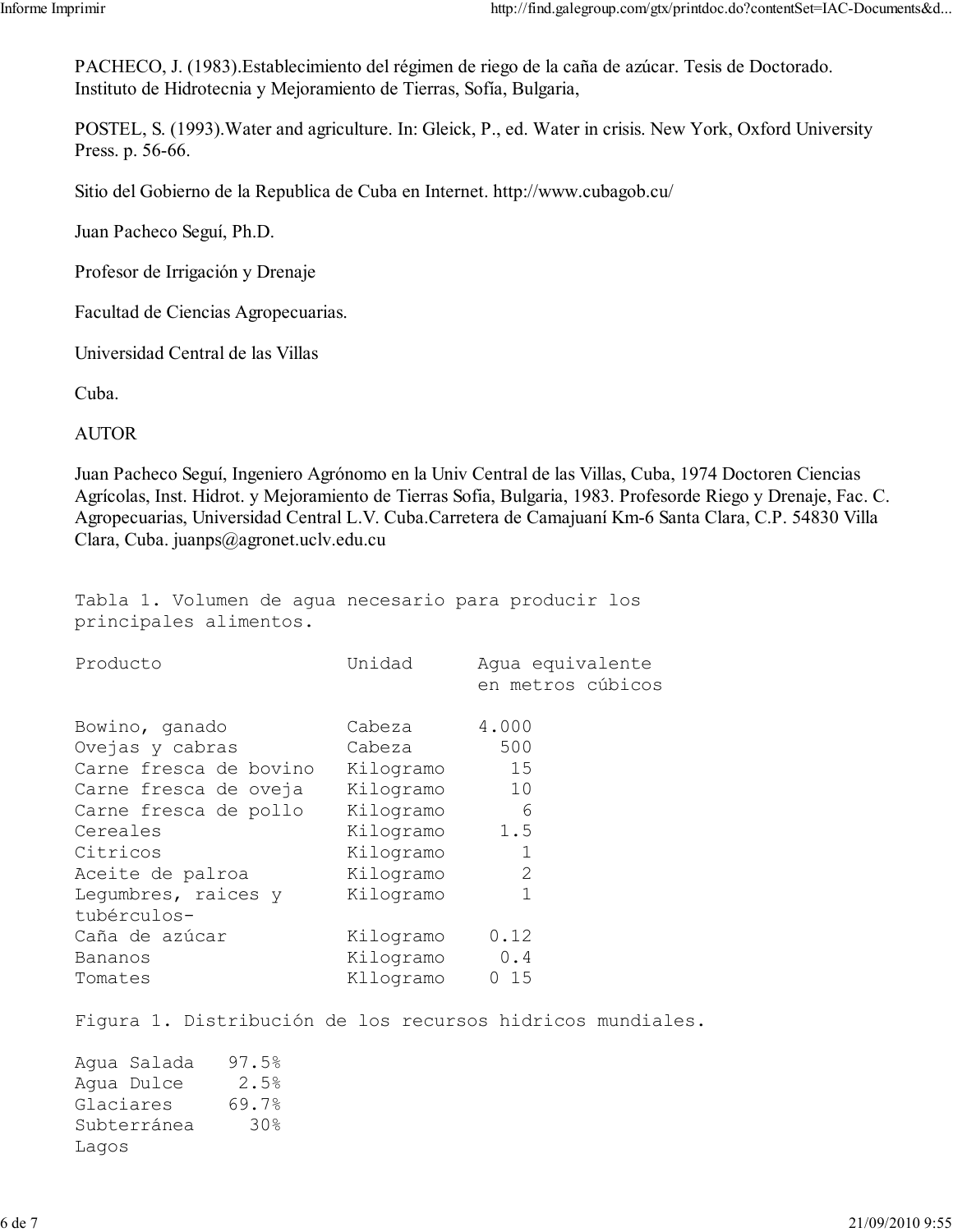PACHECO, J. (1983). Establecimiento del régimen de riego de la caña de azúcar. Tesis de Doctorado. Instituto de Hidrotecnia y Mejoramiento de Tierras, Sofía, Bulgaria,

POSTEL, S. (1993). Water and agriculture. In: Gleick, P., ed. Water in crisis. New York, Oxford University Press. p. 56-66.

Sitio del Gobierno de la Republica de Cuba en Internet. http://www.cubagob.cu/

Juan Pacheco Seguí, Ph.D.

Profesor de Irrigación y Drenaje

Facultad de Ciencias Agropecuarias.

Universidad Central de las Villas

Cuba.

**AUTOR** 

Juan Pacheco Seguí, Ingeniero Agrónomo en la Univ Central de las Villas, Cuba, 1974 Doctoren Ciencias Agrícolas, Inst. Hidrot. y Mejoramiento de Tierras Sofia, Bulgaria, 1983. Profesorde Riego y Drenaje, Fac. C. Agropecuarias, Universidad Central L.V. Cuba.Carretera de Camajuaní Km-6 Santa Clara, C.P. 54830 Villa Clara, Cuba. juanps@agronet.uclv.edu.cu

Tabla 1. Volumen de aqua necesario para producir los principales alimentos.

| Producto                                                                                                                                                  | Unidad                                                                                         | Aqua equivalente<br>en metros cúbicos          |
|-----------------------------------------------------------------------------------------------------------------------------------------------------------|------------------------------------------------------------------------------------------------|------------------------------------------------|
| Bowino, ganado<br>Ovejas y cabras<br>Carne fresca de bovino<br>Carne fresca de oveja<br>Carne fresca de pollo<br>Cereales<br>Citricos<br>Aceite de palroa | Cabeza<br>Cabeza<br>Kilogramo<br>Kilogramo<br>Kilogramo<br>Kilogramo<br>Kilogramo<br>Kilogramo | 4.000<br>500<br>15<br>10<br>6<br>1.5<br>1<br>2 |
| Lequmbres, raices y<br>tubérculos-<br>Caña de azúcar<br>Bananos<br>Tomates                                                                                | Kilogramo<br>Kilogramo<br>Kilogramo<br>Kllogramo                                               | 1<br>0.12<br>0.4<br>0 15                       |

Figura 1. Distribución de los recursos hidricos mundiales.

Aqua Salada 97.5%  $2.5%$ Aqua Dulce 69.7% Glaciares  $30%$ Subterránea Lagos